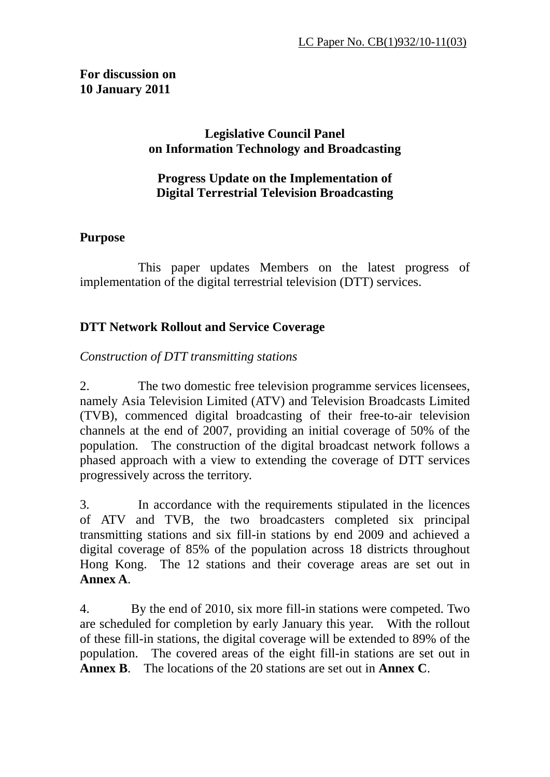### **For discussion on 10 January 2011**

### **Legislative Council Panel on Information Technology and Broadcasting**

#### **Progress Update on the Implementation of Digital Terrestrial Television Broadcasting**

## **Purpose**

This paper updates Members on the latest progress of implementation of the digital terrestrial television (DTT) services.

## **DTT Network Rollout and Service Coverage**

*Construction of DTT transmitting stations* 

2. The two domestic free television programme services licensees, namely Asia Television Limited (ATV) and Television Broadcasts Limited (TVB), commenced digital broadcasting of their free-to-air television channels at the end of 2007, providing an initial coverage of 50% of the population. The construction of the digital broadcast network follows a phased approach with a view to extending the coverage of DTT services progressively across the territory.

3. In accordance with the requirements stipulated in the licences of ATV and TVB, the two broadcasters completed six principal transmitting stations and six fill-in stations by end 2009 and achieved a digital coverage of 85% of the population across 18 districts throughout Hong Kong. The 12 stations and their coverage areas are set out in **Annex A**.

4. By the end of 2010, six more fill-in stations were competed. Two are scheduled for completion by early January this year. With the rollout of these fill-in stations, the digital coverage will be extended to 89% of the population. The covered areas of the eight fill-in stations are set out in **Annex B**. The locations of the 20 stations are set out in **Annex C**.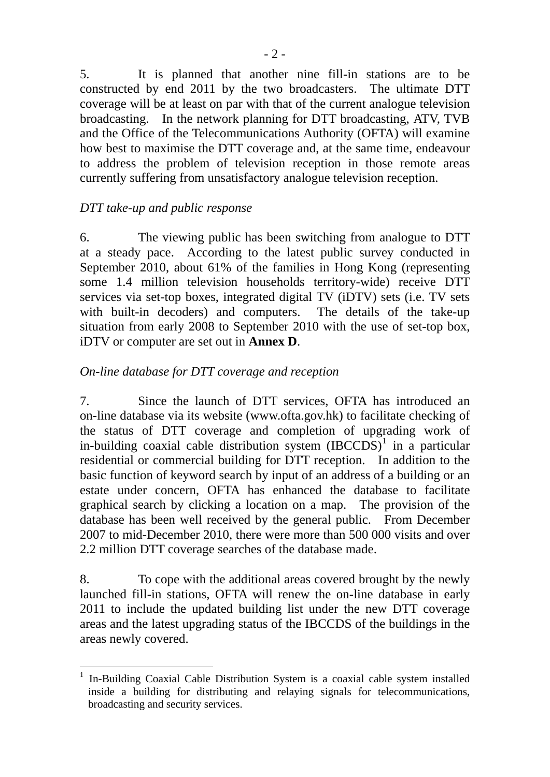5. It is planned that another nine fill-in stations are to be constructed by end 2011 by the two broadcasters. The ultimate DTT coverage will be at least on par with that of the current analogue television broadcasting. In the network planning for DTT broadcasting, ATV, TVB and the Office of the Telecommunications Authority (OFTA) will examine how best to maximise the DTT coverage and, at the same time, endeavour to address the problem of television reception in those remote areas currently suffering from unsatisfactory analogue television reception.

### *DTT take-up and public response*

 $\overline{a}$ 

6. The viewing public has been switching from analogue to DTT at a steady pace. According to the latest public survey conducted in September 2010, about 61% of the families in Hong Kong (representing some 1.4 million television households territory-wide) receive DTT services via set-top boxes, integrated digital TV (iDTV) sets (i.e. TV sets with built-in decoders) and computers. The details of the take-up situation from early 2008 to September 2010 with the use of set-top box, iDTV or computer are set out in **Annex D**.

#### *On-line database for DTT coverage and reception*

7. Since the launch of DTT services, OFTA has introduced an on-line database via its website (www.ofta.gov.hk) to facilitate checking of the status of DTT coverage and completion of upgrading work of in-building coaxial cable distribution system  $(IBCCDS)^1$  $(IBCCDS)^1$  in a particular residential or commercial building for DTT reception. In addition to the basic function of keyword search by input of an address of a building or an estate under concern, OFTA has enhanced the database to facilitate graphical search by clicking a location on a map. The provision of the database has been well received by the general public. From December 2007 to mid-December 2010, there were more than 500 000 visits and over 2.2 million DTT coverage searches of the database made.

8. To cope with the additional areas covered brought by the newly launched fill-in stations, OFTA will renew the on-line database in early 2011 to include the updated building list under the new DTT coverage areas and the latest upgrading status of the IBCCDS of the buildings in the areas newly covered.

<span id="page-1-0"></span><sup>1</sup> In-Building Coaxial Cable Distribution System is a coaxial cable system installed inside a building for distributing and relaying signals for telecommunications, broadcasting and security services.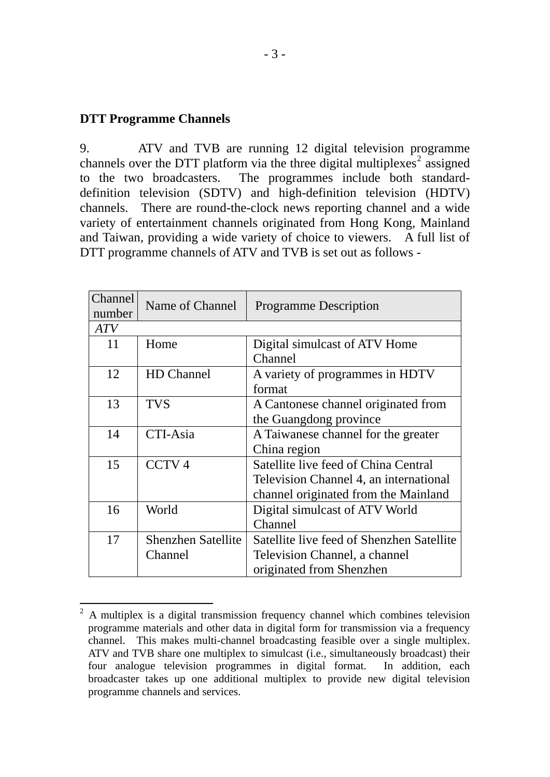#### **DTT Programme Channels**

9. ATV and TVB are running 12 digital television programme channels over the DTT platform via the three digital multiplexes<sup>[2](#page-2-0)</sup> assigned to the two broadcasters. The programmes include both standarddefinition television (SDTV) and high-definition television (HDTV) channels. There are round-the-clock news reporting channel and a wide variety of entertainment channels originated from Hong Kong, Mainland and Taiwan, providing a wide variety of choice to viewers. A full list of DTT programme channels of ATV and TVB is set out as follows -

| <b>Channel</b><br>number | Name of Channel                      | <b>Programme Description</b>                                                                                           |  |
|--------------------------|--------------------------------------|------------------------------------------------------------------------------------------------------------------------|--|
| <b>ATV</b>               |                                      |                                                                                                                        |  |
| 11                       | Home                                 | Digital simulcast of ATV Home<br>Channel                                                                               |  |
| 12                       | HD Channel                           | A variety of programmes in HDTV<br>format                                                                              |  |
| 13                       | <b>TVS</b>                           | A Cantonese channel originated from<br>the Guangdong province                                                          |  |
| 14                       | CTI-Asia                             | A Taiwanese channel for the greater<br>China region                                                                    |  |
| 15                       | CCTV <sub>4</sub>                    | Satellite live feed of China Central<br>Television Channel 4, an international<br>channel originated from the Mainland |  |
| 16                       | World                                | Digital simulcast of ATV World<br>Channel                                                                              |  |
| 17                       | <b>Shenzhen Satellite</b><br>Channel | Satellite live feed of Shenzhen Satellite<br>Television Channel, a channel<br>originated from Shenzhen                 |  |

<span id="page-2-0"></span> $\overline{a}$ 2 A multiplex is a digital transmission frequency channel which combines television programme materials and other data in digital form for transmission via a frequency channel. This makes multi-channel broadcasting feasible over a single multiplex. ATV and TVB share one multiplex to simulcast (i.e., simultaneously broadcast) their four analogue television programmes in digital format. In addition, each broadcaster takes up one additional multiplex to provide new digital television programme channels and services.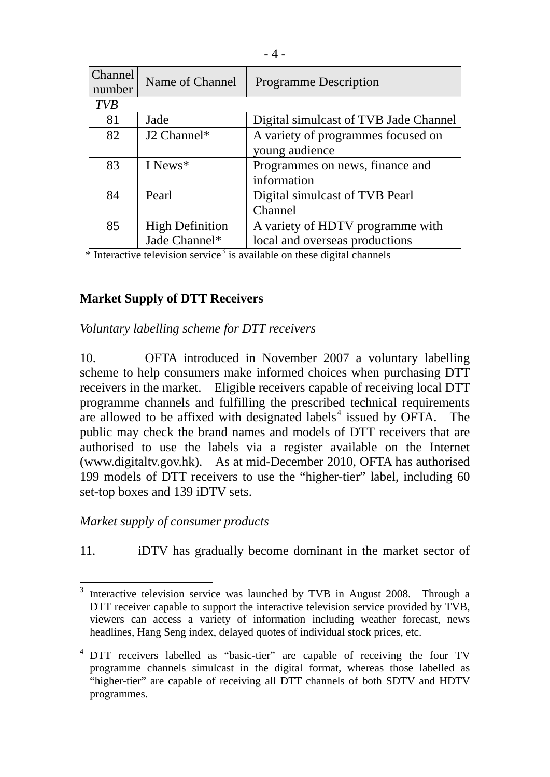| Channel<br>number | Name of Channel        | <b>Programme Description</b>          |  |  |
|-------------------|------------------------|---------------------------------------|--|--|
| <b>TVB</b>        |                        |                                       |  |  |
| 81                | Jade                   | Digital simulcast of TVB Jade Channel |  |  |
| 82                | J2 Channel*            | A variety of programmes focused on    |  |  |
|                   |                        | young audience                        |  |  |
| 83                | I News <sup>*</sup>    | Programmes on news, finance and       |  |  |
|                   |                        | information                           |  |  |
| 84                | Pearl                  | Digital simulcast of TVB Pearl        |  |  |
|                   |                        | Channel                               |  |  |
| 85                | <b>High Definition</b> | A variety of HDTV programme with      |  |  |
|                   | Jade Channel*          | local and overseas productions        |  |  |

\* Interactive television service<sup>[3](#page-3-0)</sup> is available on these digital channels

### **Market Supply of DTT Receivers**

*Voluntary labelling scheme for DTT receivers* 

10. OFTA introduced in November 2007 a voluntary labelling scheme to help consumers make informed choices when purchasing DTT receivers in the market. Eligible receivers capable of receiving local DTT programme channels and fulfilling the prescribed technical requirements are allowed to be affixed with designated labels<sup>[4](#page-3-1)</sup> issued by OFTA. The public may check the brand names and models of DTT receivers that are authorised to use the labels via a register available on the Internet (www.digitaltv.gov.hk). As at mid-December 2010, OFTA has authorised 199 models of DTT receivers to use the "higher-tier" label, including 60 set-top boxes and 139 iDTV sets.

#### *Market supply of consumer products*

11. iDTV has gradually become dominant in the market sector of

<span id="page-3-0"></span> $\frac{1}{3}$  Interactive television service was launched by TVB in August 2008. Through a DTT receiver capable to support the interactive television service provided by TVB, viewers can access a variety of information including weather forecast, news headlines, Hang Seng index, delayed quotes of individual stock prices, etc.

<span id="page-3-1"></span><sup>&</sup>lt;sup>4</sup> DTT receivers labelled as "basic-tier" are capable of receiving the four TV programme channels simulcast in the digital format, whereas those labelled as "higher-tier" are capable of receiving all DTT channels of both SDTV and HDTV programmes.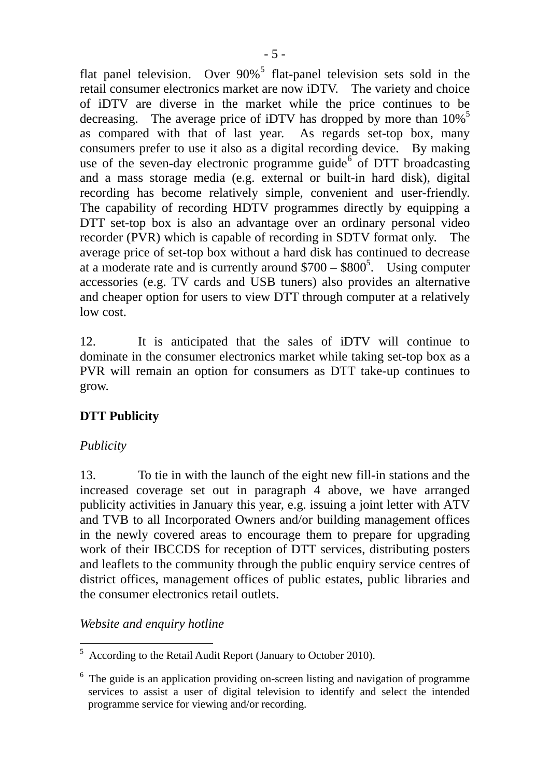flat panel television. Over  $90\%$ <sup>[5](#page-4-0)</sup> flat-panel television sets sold in the retail consumer electronics market are now iDTV. The variety and choice of iDTV are diverse in the market while the price continues to be decreasing. The average price of iDTV has dropped by more than  $10\%$ <sup>5</sup> as compared with that of last year. As regards set-top box, many consumers prefer to use it also as a digital recording device. By making use of the seven-day electronic programme guide $\delta$  of DTT broadcasting and a mass storage media (e.g. external or built-in hard disk), digital recording has become relatively simple, convenient and user-friendly. The capability of recording HDTV programmes directly by equipping a DTT set-top box is also an advantage over an ordinary personal video recorder (PVR) which is capable of recording in SDTV format only. The average price of set-top box without a hard disk has continued to decrease at a moderate rate and is currently around  $$700 - $800^5$ . Using computer accessories (e.g. TV cards and USB tuners) also provides an alternative and cheaper option for users to view DTT through computer at a relatively low cost.

12. It is anticipated that the sales of iDTV will continue to dominate in the consumer electronics market while taking set-top box as a PVR will remain an option for consumers as DTT take-up continues to grow.

## **DTT Publicity**

### *Publicity*

13. To tie in with the launch of the eight new fill-in stations and the increased coverage set out in paragraph 4 above, we have arranged publicity activities in January this year, e.g. issuing a joint letter with ATV and TVB to all Incorporated Owners and/or building management offices in the newly covered areas to encourage them to prepare for upgrading work of their IBCCDS for reception of DTT services, distributing posters and leaflets to the community through the public enquiry service centres of district offices, management offices of public estates, public libraries and the consumer electronics retail outlets.

*Website and enquiry hotline* 

<span id="page-4-0"></span> $\overline{a}$ 5 According to the Retail Audit Report (January to October 2010).

<span id="page-4-1"></span><sup>&</sup>lt;sup>6</sup> The guide is an application providing on-screen listing and navigation of programme services to assist a user of digital television to identify and select the intended programme service for viewing and/or recording.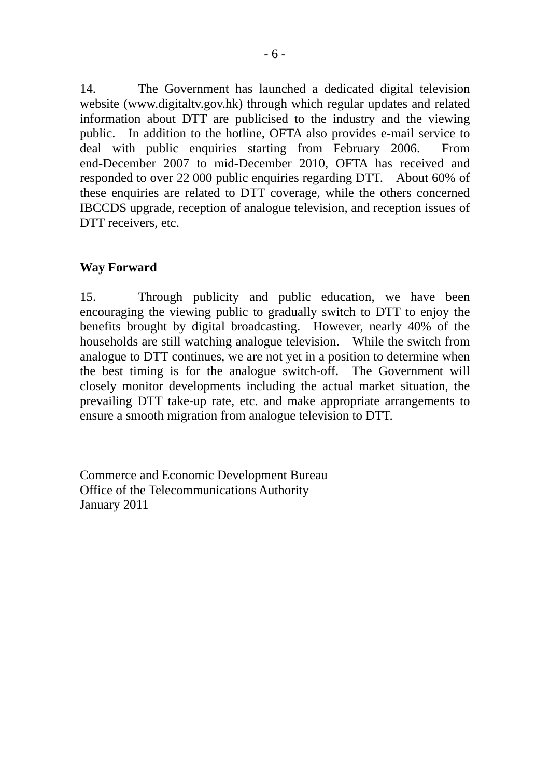14. The Government has launched a dedicated digital television website [\(www.digitaltv.gov.hk](http://www.digitaltv.gov.hk/)) through which regular updates and related information about DTT are publicised to the industry and the viewing public. In addition to the hotline, OFTA also provides e-mail service to deal with public enquiries starting from February 2006. From end-December 2007 to mid-December 2010, OFTA has received and responded to over 22 000 public enquiries regarding DTT. About 60% of these enquiries are related to DTT coverage, while the others concerned IBCCDS upgrade, reception of analogue television, and reception issues of DTT receivers, etc.

#### **Way Forward**

15. Through publicity and public education, we have been encouraging the viewing public to gradually switch to DTT to enjoy the benefits brought by digital broadcasting. However, nearly 40% of the households are still watching analogue television. While the switch from analogue to DTT continues, we are not yet in a position to determine when the best timing is for the analogue switch-off. The Government will closely monitor developments including the actual market situation, the prevailing DTT take-up rate, etc. and make appropriate arrangements to ensure a smooth migration from analogue television to DTT.

Commerce and Economic Development Bureau Office of the Telecommunications Authority January 2011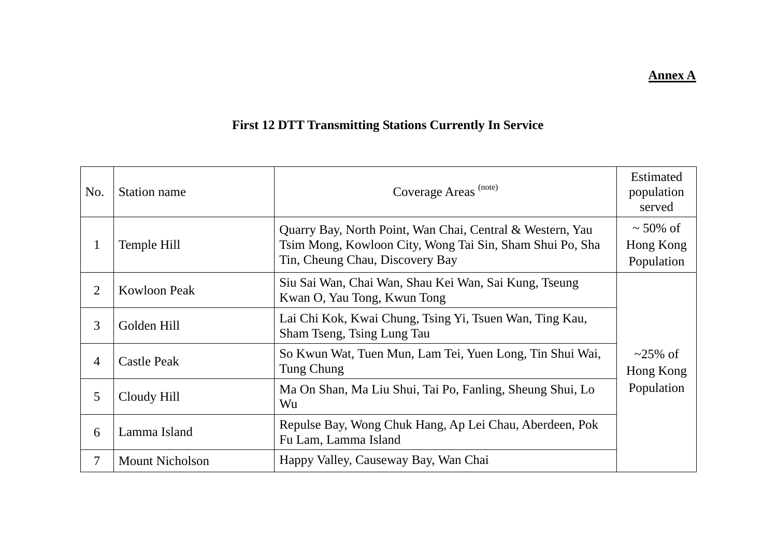#### **Annex A**

# **First 12 DTT Transmitting Stations Currently In Service**

| No.            | Station name           | Coverage Areas <sup>(note)</sup>                                                                                                                         | <b>Estimated</b><br>population<br>served |
|----------------|------------------------|----------------------------------------------------------------------------------------------------------------------------------------------------------|------------------------------------------|
|                | Temple Hill            | Quarry Bay, North Point, Wan Chai, Central & Western, Yau<br>Tsim Mong, Kowloon City, Wong Tai Sin, Sham Shui Po, Sha<br>Tin, Cheung Chau, Discovery Bay | $\sim$ 50% of<br>Hong Kong<br>Population |
| 2              | <b>Kowloon Peak</b>    | Siu Sai Wan, Chai Wan, Shau Kei Wan, Sai Kung, Tseung<br>Kwan O, Yau Tong, Kwun Tong                                                                     |                                          |
| $\mathfrak{Z}$ | Golden Hill            | Lai Chi Kok, Kwai Chung, Tsing Yi, Tsuen Wan, Ting Kau,<br>Sham Tseng, Tsing Lung Tau                                                                    |                                          |
| $\overline{4}$ | <b>Castle Peak</b>     | So Kwun Wat, Tuen Mun, Lam Tei, Yuen Long, Tin Shui Wai,<br>Tung Chung                                                                                   | $\sim$ 25% of<br>Hong Kong               |
| 5              | Cloudy Hill            | Ma On Shan, Ma Liu Shui, Tai Po, Fanling, Sheung Shui, Lo<br>Wu                                                                                          | Population                               |
| 6              | Lamma Island           | Repulse Bay, Wong Chuk Hang, Ap Lei Chau, Aberdeen, Pok<br>Fu Lam, Lamma Island                                                                          |                                          |
| 7              | <b>Mount Nicholson</b> | Happy Valley, Causeway Bay, Wan Chai                                                                                                                     |                                          |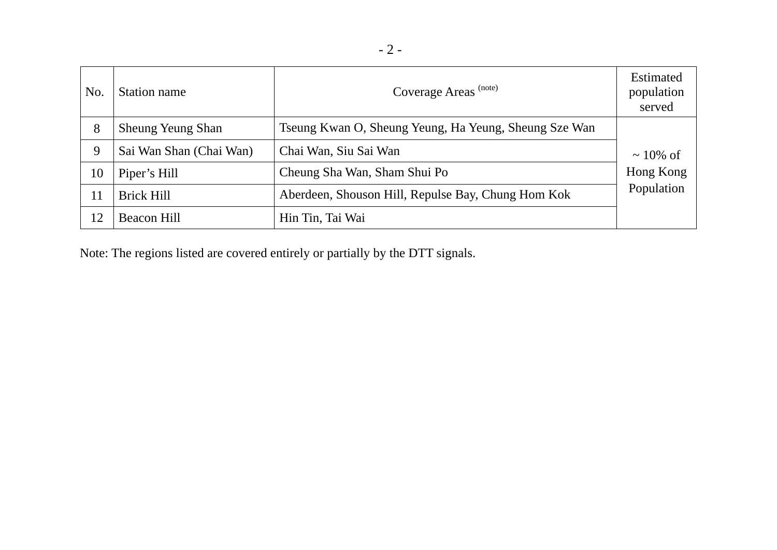| No. | Station name             | Coverage Areas <sup>(note)</sup>                      | <b>Estimated</b><br>population<br>served |  |
|-----|--------------------------|-------------------------------------------------------|------------------------------------------|--|
| 8   | <b>Sheung Yeung Shan</b> | Tseung Kwan O, Sheung Yeung, Ha Yeung, Sheung Sze Wan |                                          |  |
| 9   | Sai Wan Shan (Chai Wan)  | Chai Wan, Siu Sai Wan                                 | $\sim$ 10% of                            |  |
| 10  | Piper's Hill             | Cheung Sha Wan, Sham Shui Po                          | Hong Kong                                |  |
| 11  | <b>Brick Hill</b>        | Aberdeen, Shouson Hill, Repulse Bay, Chung Hom Kok    | Population                               |  |
| 12  | Beacon Hill              | Hin Tin, Tai Wai                                      |                                          |  |

Note: The regions listed are covered entirely or partially by the DTT signals.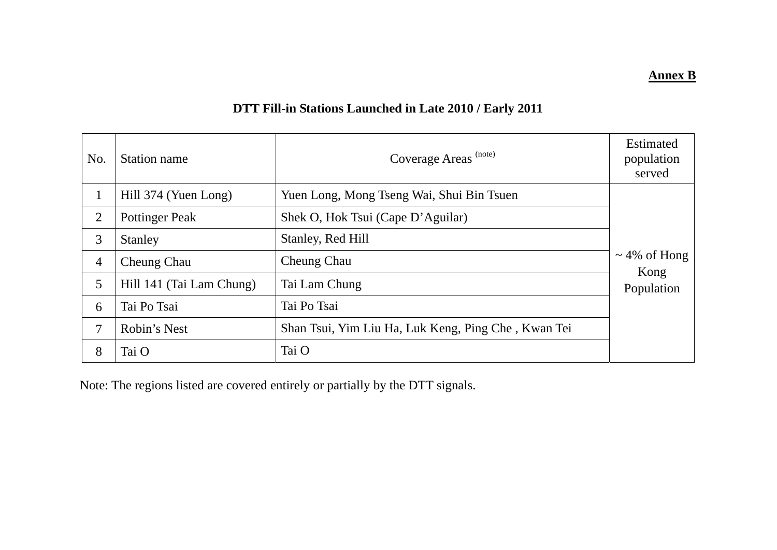**Annex B**

## **DTT Fill-in Stations Launched in Late 2010 / Early 2011**

| No.            | Station name             | Coverage Areas <sup>(note)</sup>                    | <b>Estimated</b><br>population<br>served |
|----------------|--------------------------|-----------------------------------------------------|------------------------------------------|
| 1              | Hill 374 (Yuen Long)     | Yuen Long, Mong Tseng Wai, Shui Bin Tsuen           |                                          |
| 2              | <b>Pottinger Peak</b>    | Shek O, Hok Tsui (Cape D'Aguilar)                   |                                          |
| 3              | Stanley                  | Stanley, Red Hill                                   |                                          |
| $\overline{4}$ | Cheung Chau              | <b>Cheung Chau</b>                                  | $\sim$ 4% of Hong<br>Kong                |
| 5              | Hill 141 (Tai Lam Chung) | Tai Lam Chung                                       | Population                               |
| 6              | Tai Po Tsai              | Tai Po Tsai                                         |                                          |
| 7              | Robin's Nest             | Shan Tsui, Yim Liu Ha, Luk Keng, Ping Che, Kwan Tei |                                          |
| 8              | Tai O                    | Tai O                                               |                                          |

Note: The regions listed are covered entirely or partially by the DTT signals.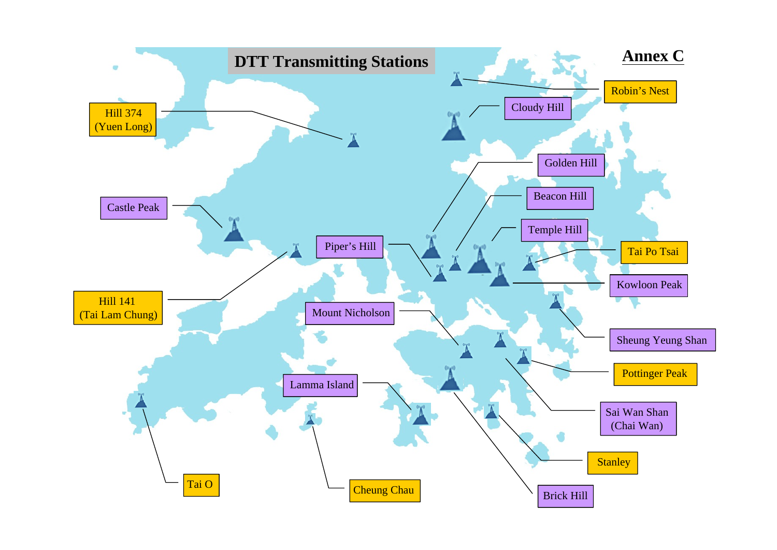